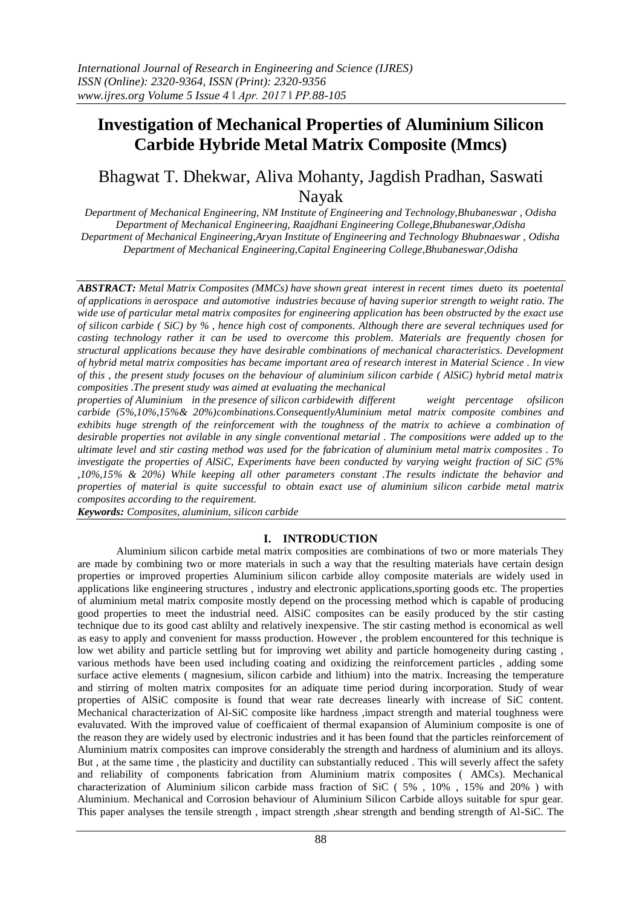# **Investigation of Mechanical Properties of Aluminium Silicon Carbide Hybride Metal Matrix Composite (Mmcs)**

# Bhagwat T. Dhekwar, Aliva Mohanty, Jagdish Pradhan, Saswati Nayak

*Department of Mechanical Engineering, NM Institute of Engineering and Technology,Bhubaneswar , Odisha Department of Mechanical Engineering, Raajdhani Engineering College,Bhubaneswar,Odisha Department of Mechanical Engineering,Aryan Institute of Engineering and Technology Bhubnaeswar , Odisha Department of Mechanical Engineering,Capital Engineering College,Bhubaneswar,Odisha*

*ABSTRACT: Metal Matrix Composites (MMCs) have shown great interest in recent times dueto its poetental of applications in aerospace and automotive industries because of having superior strength to weight ratio. The wide use of particular metal matrix composites for engineering application has been obstructed by the exact use of silicon carbide ( SiC) by % , hence high cost of components. Although there are several techniques used for casting technology rather it can be used to overcome this problem. Materials are frequently chosen for structural applications because they have desirable combinations of mechanical characteristics. Development of hybrid metal matrix composities has became important area of research interest in Material Science . In view of this , the present study focuses on the behaviour of aluminium silicon carbide ( AlSiC) hybrid metal matrix composities .The present study was aimed at evaluating the mechanical*

*properties of Aluminium in the presence of silicon carbidewith different weight percentage ofsilicon carbide (5%,10%,15%& 20%)combinations.ConsequentlyAluminium metal matrix composite combines and exhibits huge strength of the reinforcement with the toughness of the matrix to achieve a combination of desirable properties not avilable in any single conventional metarial . The compositions were added up to the ultimate level and stir casting method was used for the fabrication of aluminium metal matrix composites . To investigate the properties of AlSiC, Experiments have been conducted by varying weight fraction of SiC (5% ,10%,15% & 20%) While keeping all other parameters constant .The results indictate the behavior and properties of material is quite successful to obtain exact use of aluminium silicon carbide metal matrix composites according to the requirement.*

*Keywords: Composites, aluminium, silicon carbide*

# **I. INTRODUCTION**

Aluminium silicon carbide metal matrix composities are combinations of two or more materials They are made by combining two or more materials in such a way that the resulting materials have certain design properties or improved properties Aluminium silicon carbide alloy composite materials are widely used in applications like engineering structures , industry and electronic applications,sporting goods etc. The properties of aluminium metal matrix composite mostly depend on the processing method which is capable of producing good properties to meet the industrial need. AlSiC composites can be easily produced by the stir casting technique due to its good cast ablilty and relatively inexpensive. The stir casting method is economical as well as easy to apply and convenient for masss production. However , the problem encountered for this technique is low wet ability and particle settling but for improving wet ability and particle homogeneity during casting , various methods have been used including coating and oxidizing the reinforcement particles , adding some surface active elements ( magnesium, silicon carbide and lithium) into the matrix. Increasing the temperature and stirring of molten matrix composites for an adiquate time period during incorporation. Study of wear properties of AlSiC composite is found that wear rate decreases linearly with increase of SiC content. Mechanical characterization of Al-SiC composite like hardness ,impact strength and material toughness were evaluvated. With the improved value of coefficaient of thermal exapansion of Aluminium composite is one of the reason they are widely used by electronic industries and it has been found that the particles reinforcement of Aluminium matrix composites can improve considerably the strength and hardness of aluminium and its alloys. But , at the same time , the plasticity and ductility can substantially reduced . This will severly affect the safety and reliability of components fabrication from Aluminium matrix composites ( AMCs). Mechanical characterization of Aluminium silicon carbide mass fraction of SiC ( 5% , 10% , 15% and 20% ) with Aluminium. Mechanical and Corrosion behaviour of Aluminium Silicon Carbide alloys suitable for spur gear. This paper analyses the tensile strength , impact strength ,shear strength and bending strength of Al-SiC. The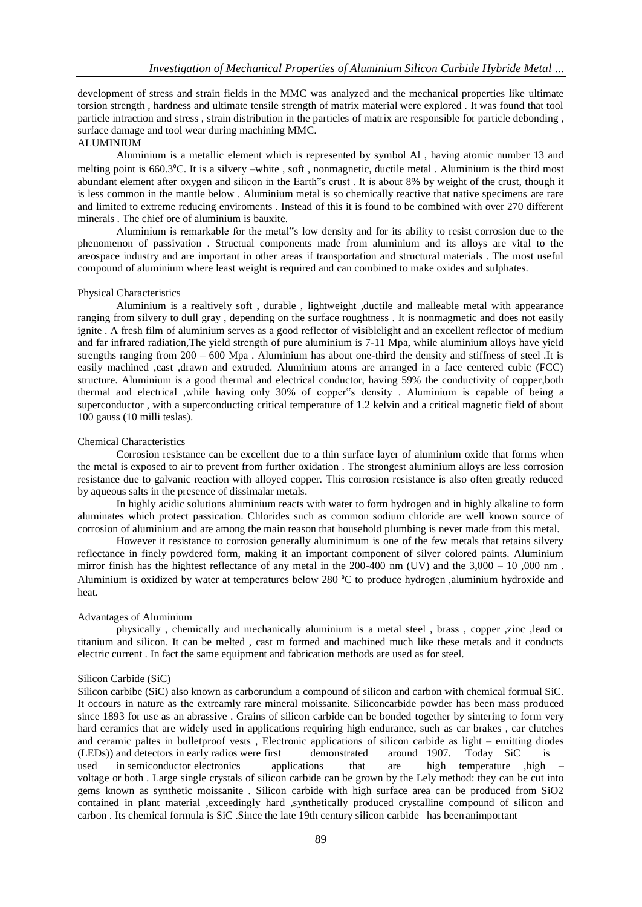development of stress and strain fields in the MMC was analyzed and the mechanical properties like ultimate torsion strength , hardness and ultimate tensile strength of matrix material were explored . It was found that tool particle intraction and stress , strain distribution in the particles of matrix are responsible for particle debonding , surface damage and tool wear during machining MMC.

#### ALUMINIUM

Aluminium is a metallic element which is represented by symbol Al , having atomic number 13 and melting point is 660.3<sup>o</sup>C. It is a silvery –white , soft , nonmagnetic, ductile metal . Aluminium is the third most abundant element after oxygen and silicon in the Earth"s crust . It is about 8% by weight of the crust, though it is less common in the mantle below . Aluminium metal is so chemically reactive that native specimens are rare and limited to extreme reducing enviroments . Instead of this it is found to be combined with over 270 different minerals . The chief ore of aluminium is bauxite.

Aluminium is remarkable for the metal"s low density and for its ability to resist corrosion due to the phenomenon of passivation . Structual components made from aluminium and its alloys are vital to the areospace industry and are important in other areas if transportation and structural materials . The most useful compound of aluminium where least weight is required and can combined to make oxides and sulphates.

#### Physical Characteristics

Aluminium is a realtively soft , durable , lightweight ,ductile and malleable metal with appearance ranging from silvery to dull gray , depending on the surface roughtness . It is nonmagmetic and does not easily ignite . A fresh film of aluminium serves as a good reflector of visiblelight and an excellent reflector of medium and far infrared radiation,The yield strength of pure aluminium is 7-11 Mpa, while aluminium alloys have yield strengths ranging from 200 – 600 Mpa . Aluminium has about one-third the density and stiffness of steel .It is easily machined ,cast ,drawn and extruded. Aluminium atoms are arranged in a face centered cubic (FCC) structure. Aluminium is a good thermal and electrical conductor, having 59% the conductivity of copper,both thermal and electrical ,while having only 30% of copper"s density . Aluminium is capable of being a superconductor , with a superconducting critical temperature of 1.2 kelvin and a critical magnetic field of about 100 gauss (10 milli teslas).

#### Chemical Characteristics

Corrosion resistance can be excellent due to a thin surface layer of aluminium oxide that forms when the metal is exposed to air to prevent from further oxidation . The strongest aluminium alloys are less corrosion resistance due to galvanic reaction with alloyed copper. This corrosion resistance is also often greatly reduced by aqueous salts in the presence of dissimalar metals.

In highly acidic solutions aluminium reacts with water to form hydrogen and in highly alkaline to form aluminates which protect passication. Chlorides such as common sodium chloride are well known source of corrosion of aluminium and are among the main reason that household plumbing is never made from this metal.

However it resistance to corrosion generally aluminimum is one of the few metals that retains silvery reflectance in finely powdered form, making it an important component of silver colored paints. Aluminium mirror finish has the hightest reflectance of any metal in the 200-400 nm (UV) and the 3,000 – 10,000 nm. Aluminium is oxidized by water at temperatures below 280 °C to produce hydrogen ,aluminium hydroxide and heat.

## Advantages of Aluminium

physically , chemically and mechanically aluminium is a metal steel , brass , copper ,zinc ,lead or titanium and silicon. It can be melted , cast m formed and machined much like these metals and it conducts electric current . In fact the same equipment and fabrication methods are used as for steel.

#### Silicon Carbide (SiC)

Silicon carbibe (SiC) also known as carborundum a compound of silicon and carbon with chemical formual SiC. It occours in nature as the extreamly rare mineral moissanite. Siliconcarbide powder has been mass produced since 1893 for use as an abrassive . Grains of silicon carbide can be bonded together by sintering to form very hard ceramics that are widely used in applications requiring high endurance, such as car brakes , car clutches and ceramic paltes in bulletproof vests , Electronic applications of silicon carbide as light – emitting diodes (LEDs)) and detectors in early radios were first demonstrated around 1907. Today SiC is used in semiconductor electronics applications that are high temperature ,high – voltage or both . Large single crystals of silicon carbide can be grown by the Lely method: they can be cut into gems known as synthetic moissanite . Silicon carbide with high surface area can be produced from SiO2 contained in plant material ,exceedingly hard ,synthetically produced crystalline compound of silicon and carbon . Its chemical formula is SiC .Since the late 19th century silicon carbide has been animportant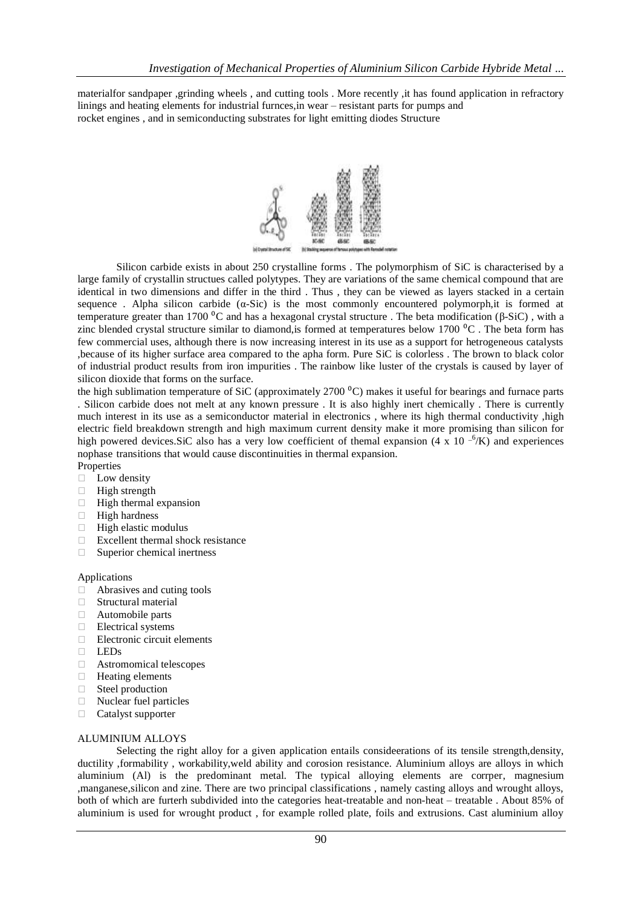materialfor sandpaper ,grinding wheels , and cutting tools . More recently ,it has found application in refractory linings and heating elements for industrial furnces,in wear – resistant parts for pumps and rocket engines , and in semiconducting substrates for light emitting diodes Structure



Silicon carbide exists in about 250 crystalline forms . The polymorphism of SiC is characterised by a large family of crystallin structues called polytypes. They are variations of the same chemical compound that are identical in two dimensions and differ in the third . Thus , they can be viewed as layers stacked in a certain sequence . Alpha silicon carbide (α-Sic) is the most commonly encountered polymorph,it is formed at temperature greater than 1700  ${}^{0}C$  and has a hexagonal crystal structure . The beta modification (β-SiC), with a zinc blended crystal structure similar to diamond, is formed at temperatures below 1700  $^{\circ}$ C. The beta form has few commercial uses, although there is now increasing interest in its use as a support for hetrogeneous catalysts ,because of its higher surface area compared to the apha form. Pure SiC is colorless . The brown to black color of industrial product results from iron impurities . The rainbow like luster of the crystals is caused by layer of silicon dioxide that forms on the surface.

the high sublimation temperature of SiC (approximately  $2700\text{ °C}$ ) makes it useful for bearings and furnace parts . Silicon carbide does not melt at any known pressure . It is also highly inert chemically . There is currently much interest in its use as a semiconductor material in electronics , where its high thermal conductivity ,high electric field breakdown strength and high maximum current density make it more promising than silicon for high powered devices. SiC also has a very low coefficient of themal expansion (4 x 10  $^{6}/K$ ) and experiences nophase transitions that would cause discontinuities in thermal expansion.

- Properties
- $\Box$  Low density
- $\Box$  High strength
- $\Box$  High thermal expansion
- $\Box$  High hardness
- $\Box$  High elastic modulus
- Excellent thermal shock resistance
- □ Superior chemical inertness

#### Applications

- $\Box$  Abrasives and cuting tools
- Structural material
- Automobile parts
- Electrical systems
- Electronic circuit elements
- LEDs
- Astromomical telescopes
- $\Box$  Heating elements
- Steel production
- Nuclear fuel particles
- $\Box$  Catalyst supporter

## ALUMINIUM ALLOYS

Selecting the right alloy for a given application entails consideerations of its tensile strength,density, ductility ,formability , workability,weld ability and corosion resistance. Aluminium alloys are alloys in which aluminium (Al) is the predominant metal. The typical alloying elements are corrper, magnesium ,manganese,silicon and zine. There are two principal classifications , namely casting alloys and wrought alloys, both of which are furterh subdivided into the categories heat-treatable and non-heat – treatable . About 85% of aluminium is used for wrought product , for example rolled plate, foils and extrusions. Cast aluminium alloy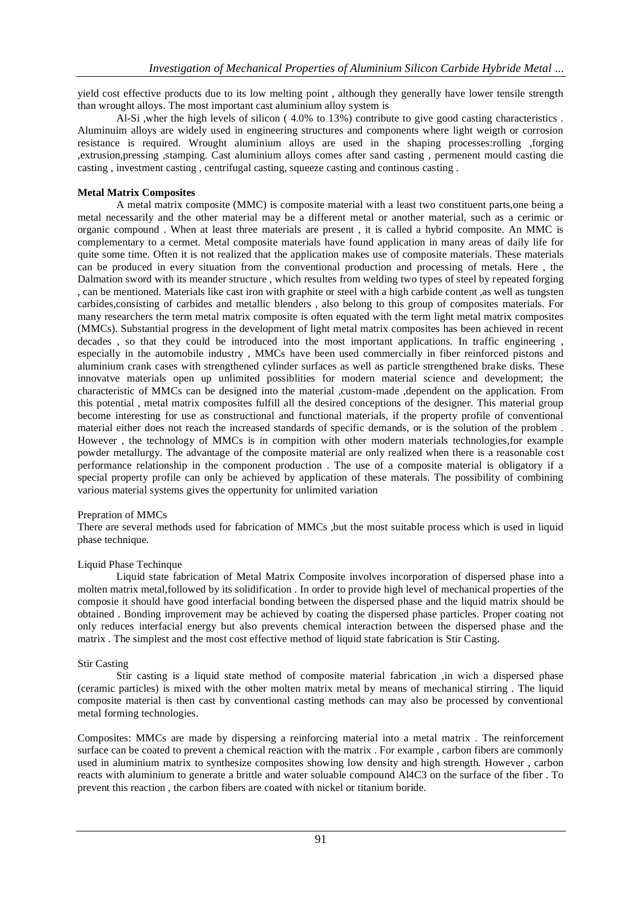yield cost effective products due to its low melting point , although they generally have lower tensile strength than wrought alloys. The most important cast aluminium alloy system is

Al-Si ,wher the high levels of silicon ( 4.0% to 13%) contribute to give good casting characteristics . Aluminuim alloys are widely used in engineering structures and components where light weigth or corrosion resistance is required. Wrought aluminium alloys are used in the shaping processes:rolling ,forging ,extrusion,pressing ,stamping. Cast aluminium alloys comes after sand casting , permenent mould casting die casting , investment casting , centrifugal casting, squeeze casting and continous casting .

## **Metal Matrix Composites**

A metal matrix composite (MMC) is composite material with a least two constituent parts,one being a metal necessarily and the other material may be a different metal or another material, such as a cerimic or organic compound . When at least three materials are present , it is called a hybrid composite. An MMC is complementary to a cermet. Metal composite materials have found application in many areas of daily life for quite some time. Often it is not realized that the application makes use of composite materials. These materials can be produced in every situation from the conventional production and processing of metals. Here , the Dalmation sword with its meander structure , which resultes from welding two types of steel by repeated forging , can be mentioned. Materials like cast iron with graphite or steel with a high carbide content ,as well as tungsten carbides,consisting of carbides and metallic blenders , also belong to this group of composites materials. For many researchers the term metal matrix composite is often equated with the term light metal matrix composites (MMCs). Substantial progress in the development of light metal matrix composites has been achieved in recent decades , so that they could be introduced into the most important applications. In traffic engineering , especially in the automobile industry , MMCs have been used commercially in fiber reinforced pistons and aluminium crank cases with strengthened cylinder surfaces as well as particle strengthened brake disks. These innovatve materials open up unlimited possiblities for modern material science and development; the characteristic of MMCs can be designed into the material ,custom-made ,dependent on the application. From this potential , metal matrix composites fulfill all the desired conceptions of the designer. This material group become interesting for use as constructional and functional materials, if the property profile of conventional material either does not reach the increased standards of specific demands, or is the solution of the problem . However , the technology of MMCs is in compition with other modern materials technologies,for example powder metallurgy. The advantage of the composite material are only realized when there is a reasonable cost performance relationship in the component production . The use of a composite material is obligatory if a special property profile can only be achieved by application of these materals. The possibility of combining various material systems gives the oppertunity for unlimited variation

#### Prepration of MMCs

There are several methods used for fabrication of MMCs ,but the most suitable process which is used in liquid phase technique.

#### Liquid Phase Techinque

Liquid state fabrication of Metal Matrix Composite involves incorporation of dispersed phase into a molten matrix metal,followed by its solidification . In order to provide high level of mechanical properties of the composie it should have good interfacial bonding between the dispersed phase and the liquid matrix should be obtained . Bonding improvement may be achieved by coating the dispersed phase particles. Proper coating not only reduces interfacial energy but also prevents chemical interaction between the dispersed phase and the matrix . The simplest and the most cost effective method of liquid state fabrication is Stir Casting.

## Stir Casting

Stir casting is a liquid state method of composite material fabrication ,in wich a dispersed phase (ceramic particles) is mixed with the other molten matrix metal by means of mechanical stirring . The liquid composite material is then cast by conventional casting methods can may also be processed by conventional metal forming technologies.

Composites: MMCs are made by dispersing a reinforcing material into a metal matrix . The reinforcement surface can be coated to prevent a chemical reaction with the matrix . For example , carbon fibers are commonly used in aluminium matrix to synthesize composites showing low density and high strength. However , carbon reacts with aluminium to generate a brittle and water soluable compound Al4C3 on the surface of the fiber . To prevent this reaction , the carbon fibers are coated with nickel or titanium boride.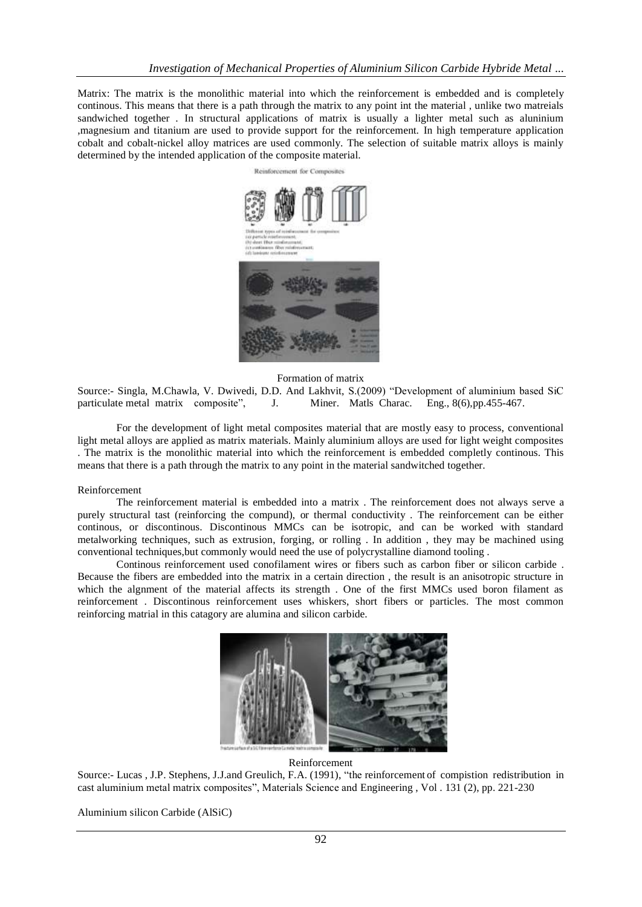Matrix: The matrix is the monolithic material into which the reinforcement is embedded and is completely continous. This means that there is a path through the matrix to any point int the material , unlike two matreials sandwiched together . In structural applications of matrix is usually a lighter metal such as aluninium ,magnesium and titanium are used to provide support for the reinforcement. In high temperature application cobalt and cobalt-nickel alloy matrices are used commonly. The selection of suitable matrix alloys is mainly determined by the intended application of the composite material.



Formation of matrix

Source:- Singla, M.Chawla, V. Dwivedi, D.D. And Lakhvit, S.(2009) "Development of aluminium based SiC particulate metal matrix composite", J. Miner. Matls Charac. Eng., 8(6),pp.455-467.

For the development of light metal composites material that are mostly easy to process, conventional light metal alloys are applied as matrix materials. Mainly aluminium alloys are used for light weight composites . The matrix is the monolithic material into which the reinforcement is embedded completly continous. This means that there is a path through the matrix to any point in the material sandwitched together.

## Reinforcement

The reinforcement material is embedded into a matrix . The reinforcement does not always serve a purely structural tast (reinforcing the compund), or thermal conductivity . The reinforcement can be either continous, or discontinous. Discontinous MMCs can be isotropic, and can be worked with standard metalworking techniques, such as extrusion, forging, or rolling . In addition , they may be machined using conventional techniques,but commonly would need the use of polycrystalline diamond tooling .

Continous reinforcement used conofilament wires or fibers such as carbon fiber or silicon carbide . Because the fibers are embedded into the matrix in a certain direction , the result is an anisotropic structure in which the algnment of the material affects its strength. One of the first MMCs used boron filament as reinforcement . Discontinous reinforcement uses whiskers, short fibers or particles. The most common reinforcing matrial in this catagory are alumina and silicon carbide.



#### Reinforcement

Source:- Lucas , J.P. Stephens, J.J.and Greulich, F.A. (1991), "the reinforcement of compistion redistribution in cast aluminium metal matrix composites", Materials Science and Engineering , Vol . 131 (2), pp. 221-230

Aluminium silicon Carbide (AlSiC)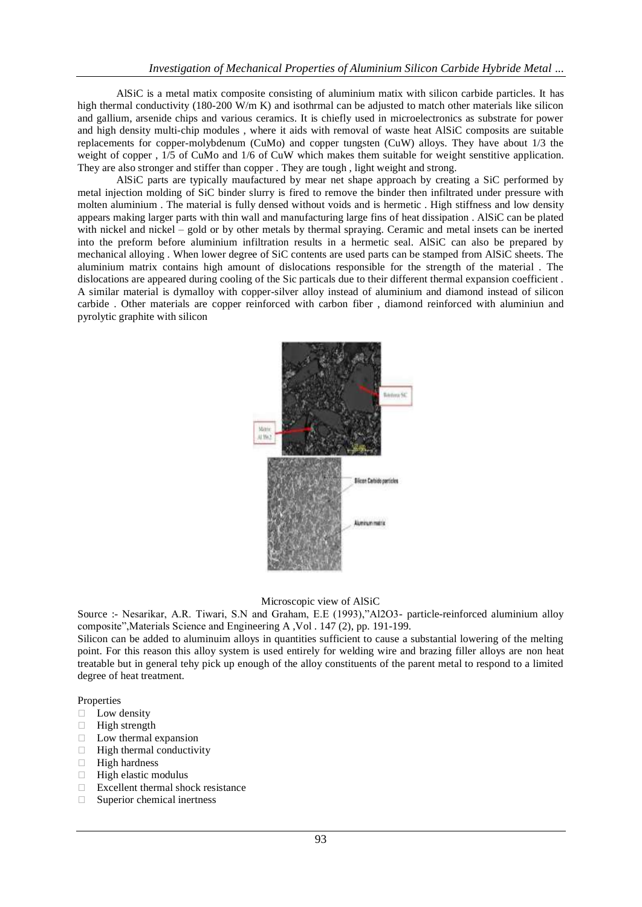AlSiC is a metal matix composite consisting of aluminium matix with silicon carbide particles. It has high thermal conductivity (180-200 W/m K) and isothrmal can be adjusted to match other materials like silicon and gallium, arsenide chips and various ceramics. It is chiefly used in microelectronics as substrate for power and high density multi-chip modules , where it aids with removal of waste heat AlSiC composits are suitable replacements for copper-molybdenum (CuMo) and copper tungsten (CuW) alloys. They have about 1/3 the weight of copper,  $1/5$  of CuMo and  $1/6$  of CuW which makes them suitable for weight senstitive application. They are also stronger and stiffer than copper . They are tough , light weight and strong.

AlSiC parts are typically maufactured by mear net shape approach by creating a SiC performed by metal injection molding of SiC binder slurry is fired to remove the binder then infiltrated under pressure with molten aluminium . The material is fully densed without voids and is hermetic . High stiffness and low density appears making larger parts with thin wall and manufacturing large fins of heat dissipation . AlSiC can be plated with nickel and nickel – gold or by other metals by thermal spraying. Ceramic and metal insets can be inerted into the preform before aluminium infiltration results in a hermetic seal. AlSiC can also be prepared by mechanical alloying . When lower degree of SiC contents are used parts can be stamped from AlSiC sheets. The aluminium matrix contains high amount of dislocations responsible for the strength of the material . The dislocations are appeared during cooling of the Sic particals due to their different thermal expansion coefficient . A similar material is dymalloy with copper-silver alloy instead of aluminium and diamond instead of silicon carbide . Other materials are copper reinforced with carbon fiber , diamond reinforced with aluminiun and pyrolytic graphite with silicon



## Microscopic view of AlSiC

Source :- Nesarikar, A.R. Tiwari, S.N and Graham, E.E (1993),"Al2O3- particle-reinforced aluminium alloy composite",Materials Science and Engineering A ,Vol . 147 (2), pp. 191-199.

Silicon can be added to aluminuim alloys in quantities sufficient to cause a substantial lowering of the melting point. For this reason this alloy system is used entirely for welding wire and brazing filler alloys are non heat treatable but in general tehy pick up enough of the alloy constituents of the parent metal to respond to a limited degree of heat treatment.

#### Properties

- $\Box$  Low density
- $\Box$  High strength
- $\Box$  Low thermal expansion
- $\Box$  High thermal conductivity
- $\Box$  High hardness
- $\Box$  High elastic modulus
- Excellent thermal shock resistance
- Superior chemical inertness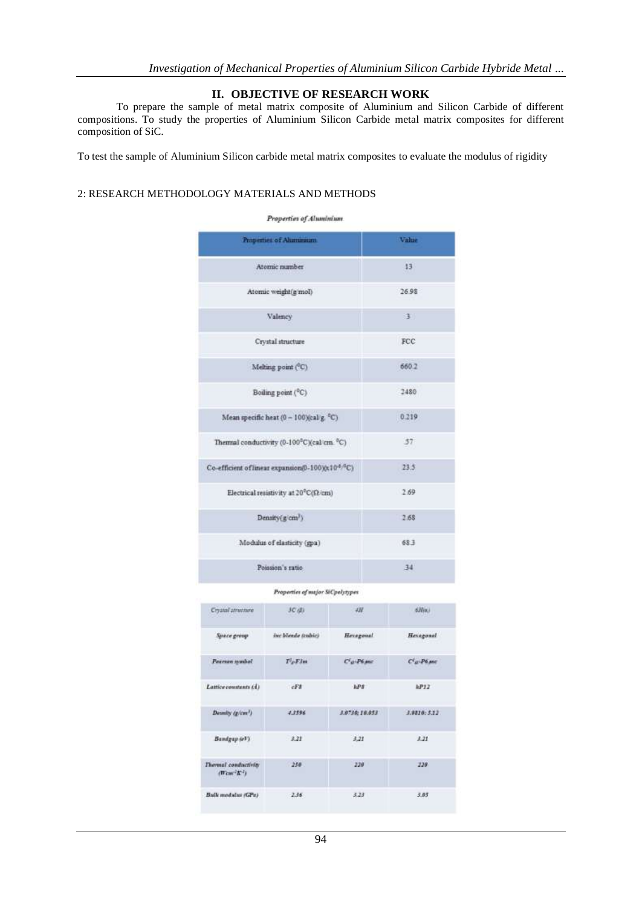# **II. OBJECTIVE OF RESEARCH WORK**

To prepare the sample of metal matrix composite of Aluminium and Silicon Carbide of different compositions. To study the properties of Aluminium Silicon Carbide metal matrix composites for different composition of SiC.

To test the sample of Aluminium Silicon carbide metal matrix composites to evaluate the modulus of rigidity

## 2: RESEARCH METHODOLOGY MATERIALS AND METHODS

| Properties of Ahminium                                         | Value         |
|----------------------------------------------------------------|---------------|
| Atomic number                                                  | $13 -$        |
| Atomic weight(a/mol)                                           | 26.98         |
| Valency                                                        | $\rightarrow$ |
| Crystal structure                                              | FCC           |
| Melting point (°C)                                             | 660.2         |
| Boiling point ( <sup>0</sup> C)                                | 2480          |
| Mean specific heat (0 - 100)(cal/g °C)                         | 0.219         |
| Thermal conductivity (0-100°C)(cal/cm. °C)                     | 57            |
| Co-efficient of linear expansion(0-100)(x10 <sup>-6/0</sup> C) | 23.5          |
| Electrical resistivity at $20^{\circ}$ C( $\Omega$ /cm)        | 2.69          |
| Density(g/cm <sup>3</sup> )                                    | 2.68          |
| Modulus of elasticity (spa)                                    | 683           |
| Poission's ratio                                               | 34            |

Properties of Aluminium

Properties of major SiCpolytypes

| Crystal structure                           | $JC$ $db$            | 4H             | 6Hin.i         |
|---------------------------------------------|----------------------|----------------|----------------|
| Space group                                 | ine blende (cubic)   | Herzgensl      | Hexagonal      |
| Pearson winbot                              | $T^{\dagger}$ . F 3m | $C^I$ a-Phane  | $C^I$ a P6 anc |
| Lattice countants (4)                       | eFI                  | hPf            | 1072           |
| Desnity (g/cm <sup>3</sup> )                | 13596                | 3.0730; 10.053 | 3.0310; 5.12   |
| Bandgap (e1)                                | 1.21                 | 3.21           | 3.21           |
| Thermal conductivity<br>$(Wees^{-1}K^{-1})$ | 250                  | 220            | 220            |
| Bulk modulus (GPz)                          | 2.36                 | 3.23           | 3.05           |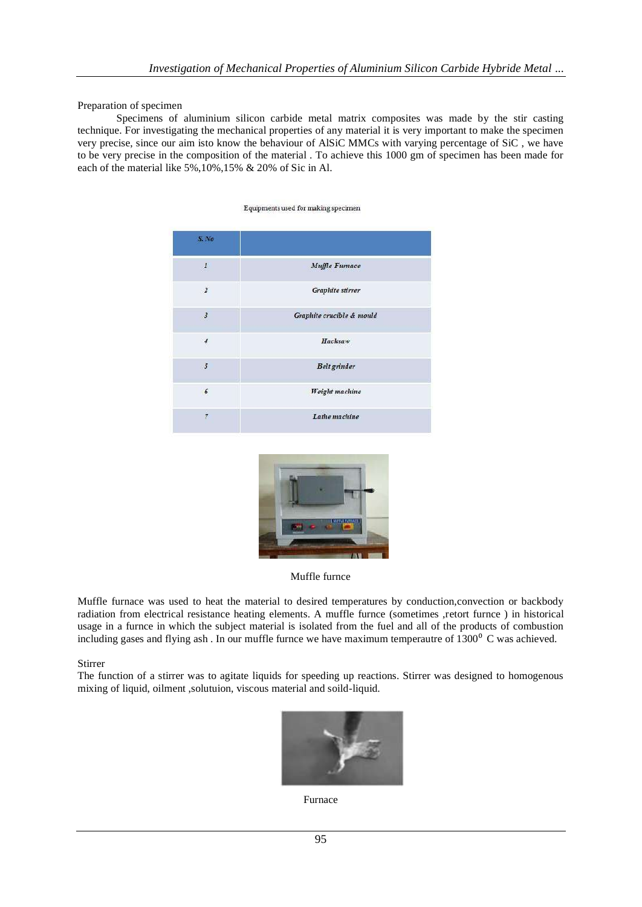Preparation of specimen

Specimens of aluminium silicon carbide metal matrix composites was made by the stir casting technique. For investigating the mechanical properties of any material it is very important to make the specimen very precise, since our aim isto know the behaviour of AlSiC MMCs with varying percentage of SiC , we have to be very precise in the composition of the material . To achieve this 1000 gm of specimen has been made for each of the material like 5%,10%,15% & 20% of Sic in Al.

| S. No                    |                           |
|--------------------------|---------------------------|
| $\boldsymbol{1}$         | Muffle Furnace            |
| $\overline{2}$           | <b>Graphite stirrer</b>   |
| $\boldsymbol{\beta}$     | Graphite crucible & mould |
| $\overline{4}$           | Hacksaw                   |
| $\overline{s}$           | <b>Belt</b> grinder       |
| 6                        | Weight machine            |
| $\overline{\mathcal{I}}$ | Lathe machine             |

#### Equipments used for making specimen



Muffle furnce

Muffle furnace was used to heat the material to desired temperatures by conduction,convection or backbody radiation from electrical resistance heating elements. A muffle furnce (sometimes ,retort furnce ) in historical usage in a furnce in which the subject material is isolated from the fuel and all of the products of combustion including gases and flying ash. In our muffle furnce we have maximum temperautre of  $1300<sup>o</sup>$  C was achieved.

## Stirrer

The function of a stirrer was to agitate liquids for speeding up reactions. Stirrer was designed to homogenous mixing of liquid, oilment ,solutuion, viscous material and soild-liquid.



Furnace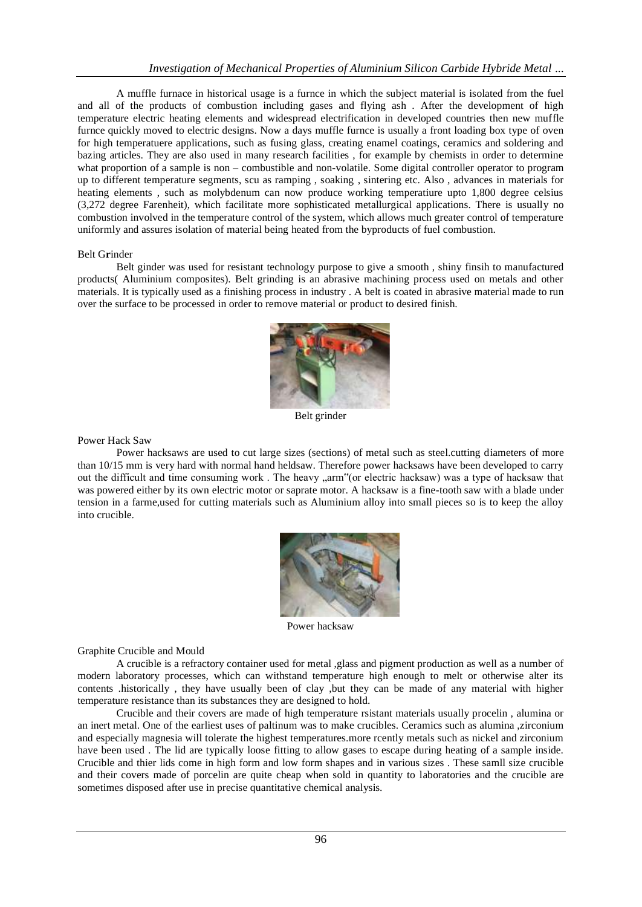A muffle furnace in historical usage is a furnce in which the subject material is isolated from the fuel and all of the products of combustion including gases and flying ash . After the development of high temperature electric heating elements and widespread electrification in developed countries then new muffle furnce quickly moved to electric designs. Now a days muffle furnce is usually a front loading box type of oven for high temperatuere applications, such as fusing glass, creating enamel coatings, ceramics and soldering and bazing articles. They are also used in many research facilities , for example by chemists in order to determine what proportion of a sample is non – combustible and non-volatile. Some digital controller operator to program up to different temperature segments, scu as ramping , soaking , sintering etc. Also , advances in materials for heating elements , such as molybdenum can now produce working temperatiure upto 1,800 degree celsius (3,272 degree Farenheit), which facilitate more sophisticated metallurgical applications. There is usually no combustion involved in the temperature control of the system, which allows much greater control of temperature uniformly and assures isolation of material being heated from the byproducts of fuel combustion.

## Belt G**r**inder

Belt ginder was used for resistant technology purpose to give a smooth , shiny finsih to manufactured products( Aluminium composites). Belt grinding is an abrasive machining process used on metals and other materials. It is typically used as a finishing process in industry . A belt is coated in abrasive material made to run over the surface to be processed in order to remove material or product to desired finish.



Belt grinder

## Power Hack Saw

Power hacksaws are used to cut large sizes (sections) of metal such as steel.cutting diameters of more than 10/15 mm is very hard with normal hand heldsaw. Therefore power hacksaws have been developed to carry out the difficult and time consuming work. The heavy "arm" (or electric hacksaw) was a type of hacksaw that was powered either by its own electric motor or saprate motor. A hacksaw is a fine-tooth saw with a blade under tension in a farme,used for cutting materials such as Aluminium alloy into small pieces so is to keep the alloy into crucible.



Power hacksaw

## Graphite Crucible and Mould

A crucible is a refractory container used for metal ,glass and pigment production as well as a number of modern laboratory processes, which can withstand temperature high enough to melt or otherwise alter its contents .historically , they have usually been of clay ,but they can be made of any material with higher temperature resistance than its substances they are designed to hold.

Crucible and their covers are made of high temperature rsistant materials usually procelin , alumina or an inert metal. One of the earliest uses of paltinum was to make crucibles. Ceramics such as alumina ,zirconium and especially magnesia will tolerate the highest temperatures.more rcently metals such as nickel and zirconium have been used . The lid are typically loose fitting to allow gases to escape during heating of a sample inside. Crucible and thier lids come in high form and low form shapes and in various sizes . These samll size crucible and their covers made of porcelin are quite cheap when sold in quantity to laboratories and the crucible are sometimes disposed after use in precise quantitative chemical analysis.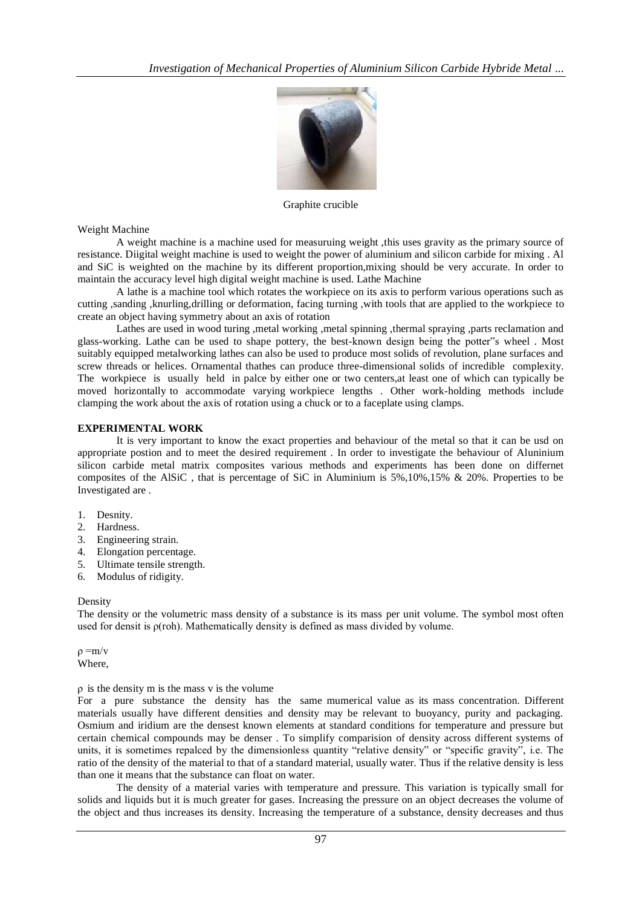

Graphite crucible

Weight Machine

A weight machine is a machine used for measuruing weight ,this uses gravity as the primary source of resistance. Diigital weight machine is used to weight the power of aluminium and silicon carbide for mixing . Al and SiC is weighted on the machine by its different proportion,mixing should be very accurate. In order to maintain the accuracy level high digital weight machine is used. Lathe Machine

A lathe is a machine tool which rotates the workpiece on its axis to perform various operations such as cutting ,sanding ,knurling,drilling or deformation, facing turning ,with tools that are applied to the workpiece to create an object having symmetry about an axis of rotation

Lathes are used in wood turing ,metal working ,metal spinning ,thermal spraying ,parts reclamation and glass-working. Lathe can be used to shape pottery, the best-known design being the potter"s wheel . Most suitably equipped metalworking lathes can also be used to produce most solids of revolution, plane surfaces and screw threads or helices. Ornamental thathes can produce three-dimensional solids of incredible complexity. The workpiece is usually held in palce by either one or two centers,at least one of which can typically be moved horizontally to accommodate varying workpiece lengths . Other work-holding methods include clamping the work about the axis of rotation using a chuck or to a faceplate using clamps.

## **EXPERIMENTAL WORK**

It is very important to know the exact properties and behaviour of the metal so that it can be usd on appropriate postion and to meet the desired requirement . In order to investigate the behaviour of Aluninium silicon carbide metal matrix composites various methods and experiments has been done on differnet composites of the AlSiC , that is percentage of SiC in Aluminium is 5%,10%,15% & 20%. Properties to be Investigated are .

- 1. Desnity.
- 2. Hardness.
- 3. Engineering strain.
- 4. Elongation percentage.
- 5. Ultimate tensile strength.
- 6. Modulus of ridigity.

## Density

The density or the volumetric mass density of a substance is its mass per unit volume. The symbol most often used for densit is ρ(roh). Mathematically density is defined as mass divided by volume.

 $\rho = m/v$ Where,

## $\rho$  is the density m is the mass v is the volume

For a pure substance the density has the same mumerical value as its mass concentration. Different materials usually have different densities and density may be relevant to buoyancy, purity and packaging. Osmium and iridium are the densest known elements at standard conditions for temperature and pressure but certain chemical compounds may be denser . To simplify comparision of density across different systems of units, it is sometimes repalced by the dimensionless quantity "relative density" or "specific gravity", i.e. The ratio of the density of the material to that of a standard material, usually water. Thus if the relative density is less than one it means that the substance can float on water.

The density of a material varies with temperature and pressure. This variation is typically small for solids and liquids but it is much greater for gases. Increasing the pressure on an object decreases the volume of the object and thus increases its density. Increasing the temperature of a substance, density decreases and thus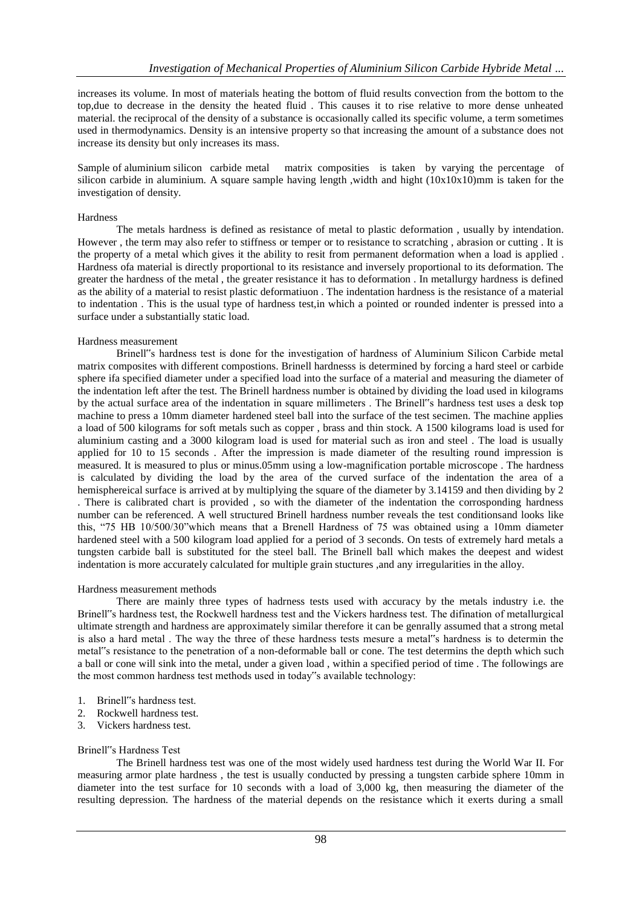increases its volume. In most of materials heating the bottom of fluid results convection from the bottom to the top,due to decrease in the density the heated fluid . This causes it to rise relative to more dense unheated material. the reciprocal of the density of a substance is occasionally called its specific volume, a term sometimes used in thermodynamics. Density is an intensive property so that increasing the amount of a substance does not increase its density but only increases its mass.

Sample of aluminium silicon carbide metal matrix composities is taken by varying the percentage of silicon carbide in aluminium. A square sample having length ,width and hight  $(10x10x10)$ mm is taken for the investigation of density.

## Hardness

The metals hardness is defined as resistance of metal to plastic deformation , usually by intendation. However , the term may also refer to stiffness or temper or to resistance to scratching , abrasion or cutting . It is the property of a metal which gives it the ability to resit from permanent deformation when a load is applied . Hardness ofa material is directly proportional to its resistance and inversely proportional to its deformation. The greater the hardness of the metal , the greater resistance it has to deformation . In metallurgy hardness is defined as the ability of a material to resist plastic deformatiuon . The indentation hardness is the resistance of a material to indentation . This is the usual type of hardness test,in which a pointed or rounded indenter is pressed into a surface under a substantially static load.

# Hardness measurement

Brinell"s hardness test is done for the investigation of hardness of Aluminium Silicon Carbide metal matrix composites with different compostions. Brinell hardnesss is determined by forcing a hard steel or carbide sphere ifa specified diameter under a specified load into the surface of a material and measuring the diameter of the indentation left after the test. The Brinell hardness number is obtained by dividing the load used in kilograms by the actual surface area of the indentation in square millimeters . The Brinell"s hardness test uses a desk top machine to press a 10mm diameter hardened steel ball into the surface of the test secimen. The machine applies a load of 500 kilograms for soft metals such as copper , brass and thin stock. A 1500 kilograms load is used for aluminium casting and a 3000 kilogram load is used for material such as iron and steel . The load is usually applied for 10 to 15 seconds . After the impression is made diameter of the resulting round impression is measured. It is measured to plus or minus.05mm using a low-magnification portable microscope . The hardness is calculated by dividing the load by the area of the curved surface of the indentation the area of a hemisphereical surface is arrived at by multiplying the square of the diameter by 3.14159 and then dividing by 2 . There is calibrated chart is provided , so with the diameter of the indentation the corrosponding hardness number can be referenced. A well structured Brinell hardness number reveals the test conditionsand looks like this, "75 HB 10/500/30"which means that a Brenell Hardness of 75 was obtained using a 10mm diameter hardened steel with a 500 kilogram load applied for a period of 3 seconds. On tests of extremely hard metals a tungsten carbide ball is substituted for the steel ball. The Brinell ball which makes the deepest and widest indentation is more accurately calculated for multiple grain stuctures ,and any irregularities in the alloy.

## Hardness measurement methods

There are mainly three types of hadrness tests used with accuracy by the metals industry i.e. the Brinell"s hardness test, the Rockwell hardness test and the Vickers hardness test. The difination of metallurgical ultimate strength and hardness are approximately similar therefore it can be genrally assumed that a strong metal is also a hard metal . The way the three of these hardness tests mesure a metal"s hardness is to determin the metal"s resistance to the penetration of a non-deformable ball or cone. The test determins the depth which such a ball or cone will sink into the metal, under a given load , within a specified period of time . The followings are the most common hardness test methods used in today"s available technology:

- 1. Brinell"s hardness test.
- 2. Rockwell hardness test.
- 3. Vickers hardness test.

## Brinell"s Hardness Test

The Brinell hardness test was one of the most widely used hardness test during the World War II. For measuring armor plate hardness , the test is usually conducted by pressing a tungsten carbide sphere 10mm in diameter into the test surface for 10 seconds with a load of 3,000 kg, then measuring the diameter of the resulting depression. The hardness of the material depends on the resistance which it exerts during a small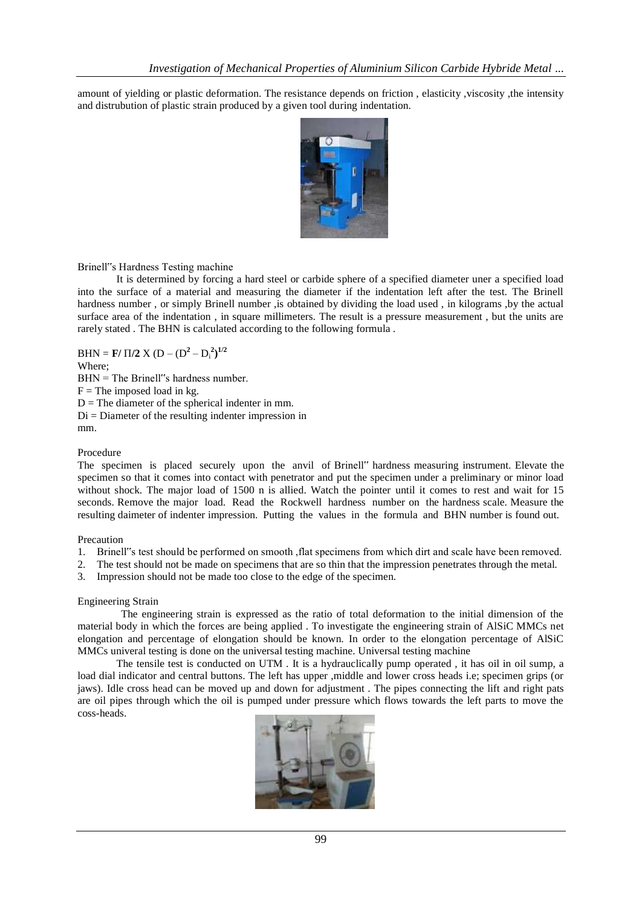amount of yielding or plastic deformation. The resistance depends on friction , elasticity ,viscosity ,the intensity and distrubution of plastic strain produced by a given tool during indentation.



Brinell"s Hardness Testing machine

It is determined by forcing a hard steel or carbide sphere of a specified diameter uner a specified load into the surface of a material and measuring the diameter if the indentation left after the test. The Brinell hardness number, or simply Brinell number, is obtained by dividing the load used, in kilograms, by the actual surface area of the indentation , in square millimeters. The result is a pressure measurement , but the units are rarely stated . The BHN is calculated according to the following formula .

 $BHN = \mathbf{F}/ \Pi/2 \times (D - (D^2 - D_i^2)^{1/2})$ Where; BHN = The Brinell"s hardness number.  $F =$ The imposed load in kg.  $D =$ The diameter of the spherical indenter in mm.  $Di =$  Diameter of the resulting indenter impression in mm.

## Procedure

The specimen is placed securely upon the anvil of Brinell" hardness measuring instrument. Elevate the specimen so that it comes into contact with penetrator and put the specimen under a preliminary or minor load without shock. The major load of 1500 n is allied. Watch the pointer until it comes to rest and wait for 15 seconds. Remove the major load. Read the Rockwell hardness number on the hardness scale. Measure the resulting daimeter of indenter impression. Putting the values in the formula and BHN number is found out.

#### Precaution

- 1. Brinell"s test should be performed on smooth ,flat specimens from which dirt and scale have been removed.
- 2. The test should not be made on specimens that are so thin that the impression penetrates through the metal.
- 3. Impression should not be made too close to the edge of the specimen.

#### Engineering Strain

The engineering strain is expressed as the ratio of total deformation to the initial dimension of the material body in which the forces are being applied . To investigate the engineering strain of AlSiC MMCs net elongation and percentage of elongation should be known. In order to the elongation percentage of AlSiC MMCs univeral testing is done on the universal testing machine. Universal testing machine

The tensile test is conducted on UTM . It is a hydrauclically pump operated , it has oil in oil sump, a load dial indicator and central buttons. The left has upper ,middle and lower cross heads i.e; specimen grips (or jaws). Idle cross head can be moved up and down for adjustment . The pipes connecting the lift and right pats are oil pipes through which the oil is pumped under pressure which flows towards the left parts to move the coss-heads.

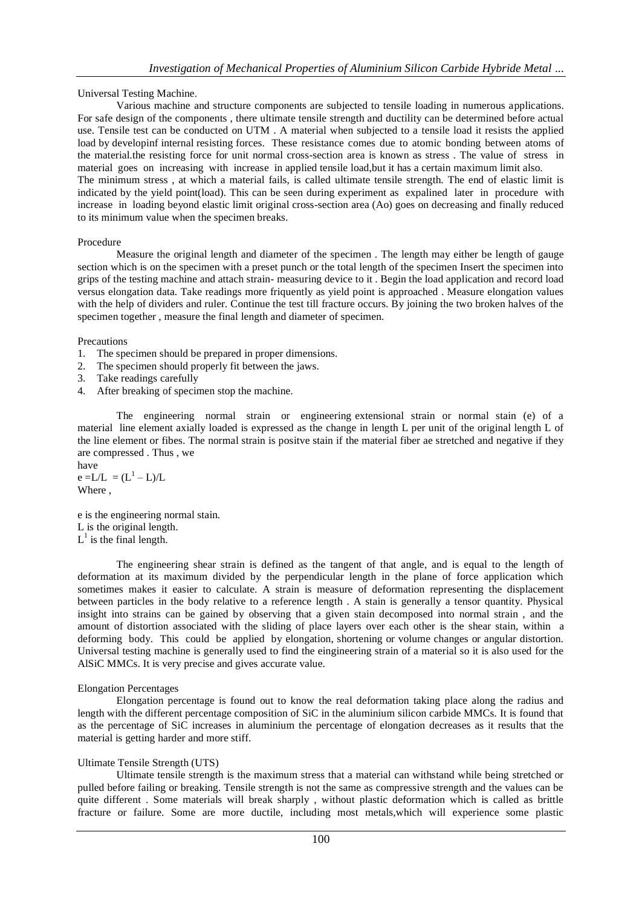# Universal Testing Machine.

Various machine and structure components are subjected to tensile loading in numerous applications. For safe design of the components , there ultimate tensile strength and ductility can be determined before actual use. Tensile test can be conducted on UTM . A material when subjected to a tensile load it resists the applied load by developinf internal resisting forces. These resistance comes due to atomic bonding between atoms of the material.the resisting force for unit normal cross-section area is known as stress . The value of stress in material goes on increasing with increase in applied tensile load,but it has a certain maximum limit also. The minimum stress , at which a material fails, is called ultimate tensile strength. The end of elastic limit is indicated by the yield point(load). This can be seen during experiment as expalined later in procedure with increase in loading beyond elastic limit original cross-section area (Ao) goes on decreasing and finally reduced to its minimum value when the specimen breaks.

## Procedure

Measure the original length and diameter of the specimen . The length may either be length of gauge section which is on the specimen with a preset punch or the total length of the specimen Insert the specimen into grips of the testing machine and attach strain- measuring device to it . Begin the load application and record load versus elongation data. Take readings more friquently as yield point is approached . Measure elongation values with the help of dividers and ruler. Continue the test till fracture occurs. By joining the two broken halves of the specimen together , measure the final length and diameter of specimen.

#### **Precautions**

- 1. The specimen should be prepared in proper dimensions.
- 2. The specimen should properly fit between the jaws.
- 3. Take readings carefully
- 4. After breaking of specimen stop the machine.

The engineering normal strain or engineering extensional strain or normal stain (e) of a material line element axially loaded is expressed as the change in length L per unit of the original length L of the line element or fibes. The normal strain is positve stain if the material fiber ae stretched and negative if they are compressed . Thus , we

have  $e = L/L = (L<sup>1</sup> - L)/L$ Where ,

e is the engineering normal stain. L is the original length.  $L^1$  is the final length.

The engineering shear strain is defined as the tangent of that angle, and is equal to the length of deformation at its maximum divided by the perpendicular length in the plane of force application which sometimes makes it easier to calculate. A strain is measure of deformation representing the displacement between particles in the body relative to a reference length . A stain is generally a tensor quantity. Physical insight into strains can be gained by observing that a given stain decomposed into normal strain , and the amount of distortion associated with the sliding of place layers over each other is the shear stain, within a deforming body. This could be applied by elongation, shortening or volume changes or angular distortion. Universal testing machine is generally used to find the eingineering strain of a material so it is also used for the AlSiC MMCs. It is very precise and gives accurate value.

## Elongation Percentages

Elongation percentage is found out to know the real deformation taking place along the radius and length with the different percentage composition of SiC in the aluminium silicon carbide MMCs. It is found that as the percentage of SiC increases in aluminium the percentage of elongation decreases as it results that the material is getting harder and more stiff.

## Ultimate Tensile Strength (UTS)

Ultimate tensile strength is the maximum stress that a material can withstand while being stretched or pulled before failing or breaking. Tensile strength is not the same as compressive strength and the values can be quite different . Some materials will break sharply , without plastic deformation which is called as brittle fracture or failure. Some are more ductile, including most metals,which will experience some plastic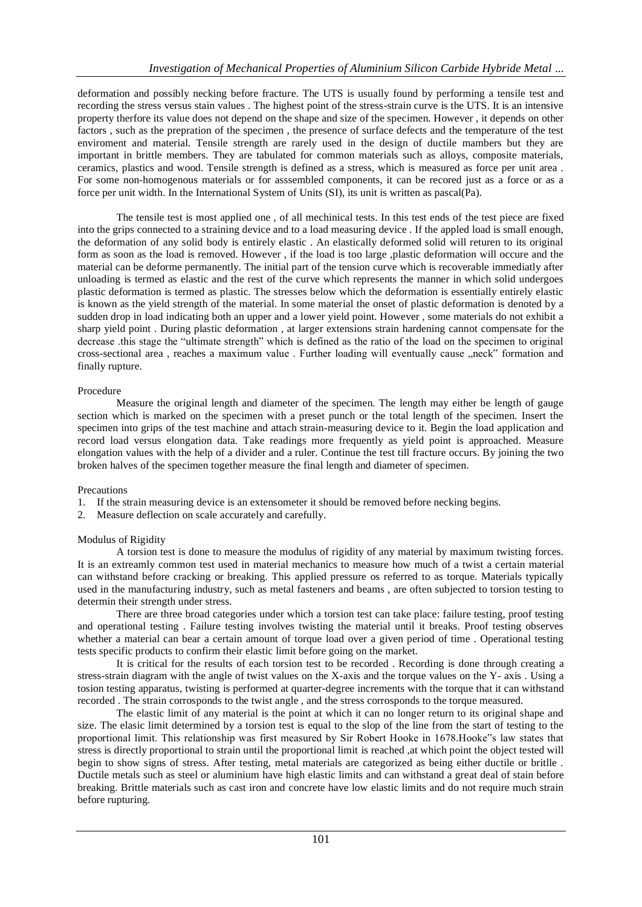deformation and possibly necking before fracture. The UTS is usually found by performing a tensile test and recording the stress versus stain values . The highest point of the stress-strain curve is the UTS. It is an intensive property therfore its value does not depend on the shape and size of the specimen. However , it depends on other factors , such as the prepration of the specimen , the presence of surface defects and the temperature of the test enviroment and material. Tensile strength are rarely used in the design of ductile mambers but they are important in brittle members. They are tabulated for common materials such as alloys, composite materials, ceramics, plastics and wood. Tensile strength is defined as a stress, which is measured as force per unit area . For some non-homogenous materials or for asssembled components, it can be recored just as a force or as a force per unit width. In the International System of Units (SI), its unit is written as pascal(Pa).

The tensile test is most applied one , of all mechinical tests. In this test ends of the test piece are fixed into the grips connected to a straining device and to a load measuring device . If the appled load is small enough, the deformation of any solid body is entirely elastic . An elastically deformed solid will returen to its original form as soon as the load is removed. However , if the load is too large ,plastic deformation will occure and the material can be deforme permanently. The initial part of the tension curve which is recoverable immediatly after unloading is termed as elastic and the rest of the curve which represents the manner in which solid undergoes plastic deformation is termed as plastic. The stresses below which the deformation is essentially entirely elastic is known as the yield strength of the material. In some material the onset of plastic deformation is denoted by a sudden drop in load indicating both an upper and a lower yield point. However , some materials do not exhibit a sharp yield point . During plastic deformation , at larger extensions strain hardening cannot compensate for the decrease .this stage the "ultimate strength" which is defined as the ratio of the load on the specimen to original cross-sectional area , reaches a maximum value . Further loading will eventually cause "neck" formation and finally rupture.

## Procedure

Measure the original length and diameter of the specimen. The length may either be length of gauge section which is marked on the specimen with a preset punch or the total length of the specimen. Insert the specimen into grips of the test machine and attach strain-measuring device to it. Begin the load application and record load versus elongation data. Take readings more frequently as yield point is approached. Measure elongation values with the help of a divider and a ruler. Continue the test till fracture occurs. By joining the two broken halves of the specimen together measure the final length and diameter of specimen.

## Precautions

- 1. If the strain measuring device is an extensometer it should be removed before necking begins.
- 2. Measure deflection on scale accurately and carefully.

# Modulus of Rigidity

A torsion test is done to measure the modulus of rigidity of any material by maximum twisting forces. It is an extreamly common test used in material mechanics to measure how much of a twist a certain material can withstand before cracking or breaking. This applied pressure os referred to as torque. Materials typically used in the manufacturing industry, such as metal fasteners and beams , are often subjected to torsion testing to determin their strength under stress.

There are three broad categories under which a torsion test can take place: failure testing, proof testing and operational testing . Failure testing involves twisting the material until it breaks. Proof testing observes whether a material can bear a certain amount of torque load over a given period of time . Operational testing tests specific products to confirm their elastic limit before going on the market.

It is critical for the results of each torsion test to be recorded . Recording is done through creating a stress-strain diagram with the angle of twist values on the X-axis and the torque values on the Y- axis . Using a tosion testing apparatus, twisting is performed at quarter-degree increments with the torque that it can withstand recorded . The strain corrosponds to the twist angle , and the stress corrosponds to the torque measured.

The elastic limit of any material is the point at which it can no longer return to its original shape and size. The elasic limit determined by a torsion test is equal to the slop of the line from the start of testing to the proportional limit. This relationship was first measured by Sir Robert Hooke in 1678.Hooke"s law states that stress is directly proportional to strain until the proportional limit is reached ,at which point the object tested will begin to show signs of stress. After testing, metal materials are categorized as being either ductile or britlle . Ductile metals such as steel or aluminium have high elastic limits and can withstand a great deal of stain before breaking. Brittle materials such as cast iron and concrete have low elastic limits and do not require much strain before rupturing.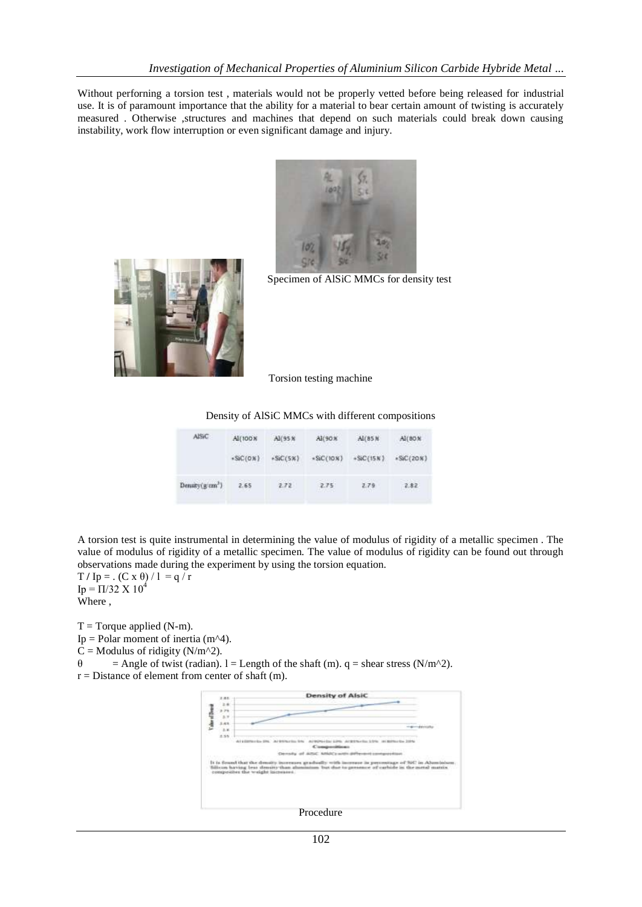Without perforning a torsion test , materials would not be properly vetted before being released for industrial use. It is of paramount importance that the ability for a material to bear certain amount of twisting is accurately measured . Otherwise ,structures and machines that depend on such materials could break down causing instability, work flow interruption or even significant damage and injury.





Specimen of AlSiC MMCs for density test

Torsion testing machine

#### Density of AlSiC MMCs with different compositions

| <b>APSIC</b>                                            | AI(100 K<br>0000000000000 | AI(95 <sub>N</sub><br>---------               | <b>AK90 %</b>                                       | AI(85)<br><b><i>CONTRACTOR</i></b>            | AI(BON)                    |
|---------------------------------------------------------|---------------------------|-----------------------------------------------|-----------------------------------------------------|-----------------------------------------------|----------------------------|
|                                                         | $\cdot$ SiC(ON)           | $*SiC(5x)$<br>the state of the company of the | $-SiC(10X)$<br>and the property of the property and | $+$ SaC $(15N)$<br><b>PERMIT AND PROPERTY</b> | $*$ SiC $(20M)$<br>_______ |
| Density(g/cm <sup>2</sup> )<br><b>CANADA MARCHARTHY</b> | 2.65                      | 2.72                                          | 2.75<br><b>Palacio Port Tel</b>                     | 2.79                                          | ans                        |

A torsion test is quite instrumental in determining the value of modulus of rigidity of a metallic specimen . The value of modulus of rigidity of a metallic specimen. The value of modulus of rigidity can be found out through observations made during the experiment by using the torsion equation.

 $T /$  Ip = . (C x  $\theta$ ) / 1 = q / r  $Ip = \Pi/32 \times 10^4$ Where ,

 $T = Torque applied (N-m).$ 

Ip = Polar moment of inertia  $(m^4)$ .

 $C =$  Modulus of ridigity (N/m^2).

 $\theta$  = Angle of twist (radian). l = Length of the shaft (m). q = shear stress (N/m^2).  $r = Distance$  of element from center of shaft (m).



102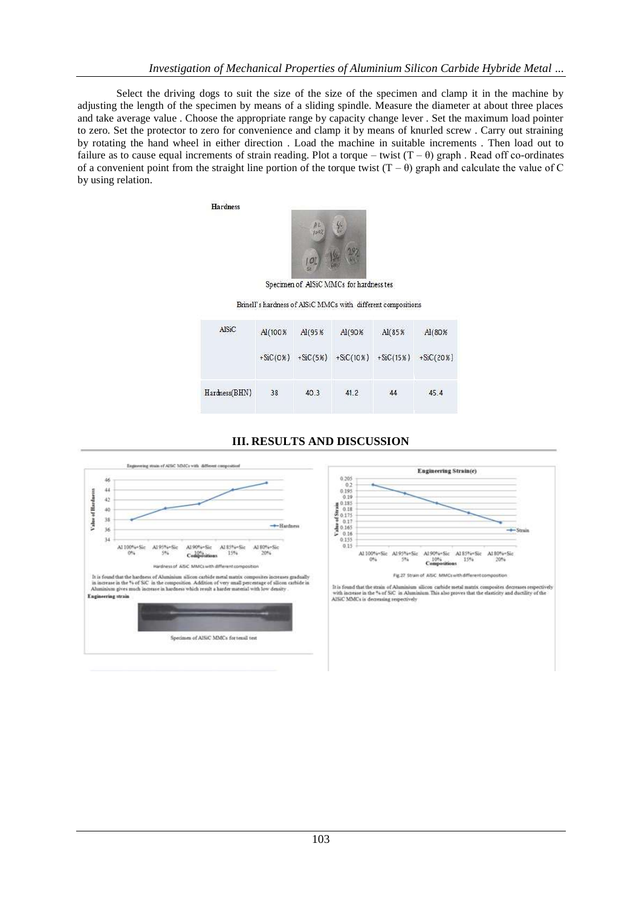Select the driving dogs to suit the size of the size of the specimen and clamp it in the machine by adjusting the length of the specimen by means of a sliding spindle. Measure the diameter at about three places and take average value . Choose the appropriate range by capacity change lever . Set the maximum load pointer to zero. Set the protector to zero for convenience and clamp it by means of knurled screw . Carry out straining by rotating the hand wheel in either direction . Load the machine in suitable increments . Then load out to failure as to cause equal increments of strain reading. Plot a torque – twist  $(T - \theta)$  graph. Read off co-ordinates of a convenient point from the straight line portion of the torque twist  $(T - \theta)$  graph and calculate the value of C by using relation.

Hardness



Specimen of AlSiC MMCs for hardness tes

Brinell's hardness of AlSiC MMCs with different compositions

| <b>AISiC</b>  | AI(100%    | AI(95%     | Al(90%      | Al(85%      | AI(80%      |
|---------------|------------|------------|-------------|-------------|-------------|
|               | $+SiC(0%)$ | $+SiC(5%)$ | $+SiC(10%)$ | $+SiC(15%)$ | $+SiC(20%)$ |
| Hardness(BHN) | 38         | 40.3       | 41.2        | 44          | 45.4        |

# **III. RESULTS AND DISCUSSION**

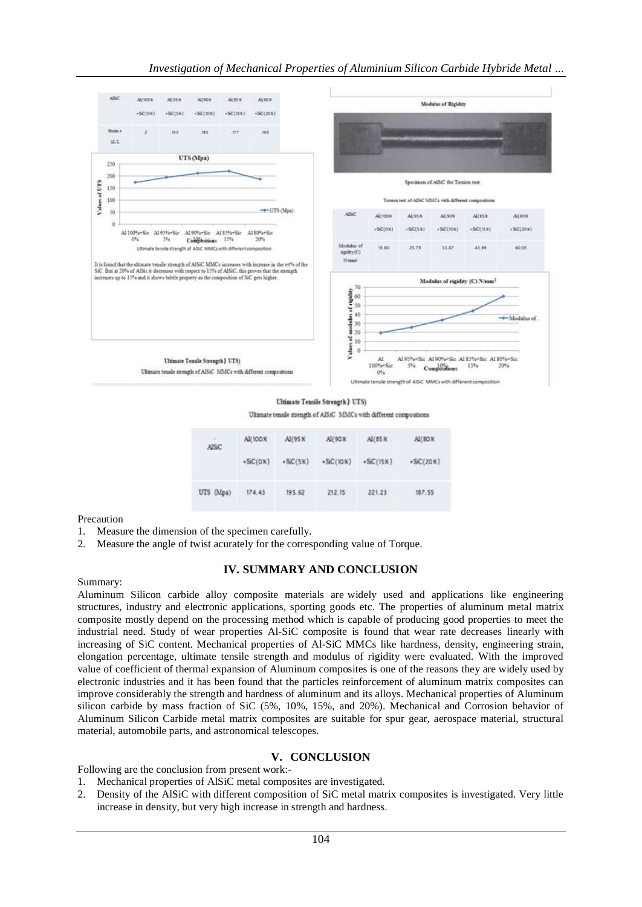

Ultimate Tensile Strength) UTS)

Ultimate tensile strength of AISiC MMCs with different compositions

| <b>AISIC</b> | AI(100%   | AI(95%)   | AI(90%      | Al(85%)    | AI(80X)    |
|--------------|-----------|-----------|-------------|------------|------------|
|              | $-SC(0K)$ | $+SC(SX)$ | $-SiC(10N)$ | $-SC(15X)$ | $+SC(20N)$ |
| UTS (Mps)    | 174.43    | 195.62    | 212.15      | 221.23     | 187.55     |

Precaution

- 1. Measure the dimension of the specimen carefully.
- 2. Measure the angle of twist acurately for the corresponding value of Torque.

# **IV. SUMMARY AND CONCLUSION**

Summary:

Aluminum Silicon carbide alloy composite materials are widely used and applications like engineering structures, industry and electronic applications, sporting goods etc. The properties of aluminum metal matrix composite mostly depend on the processing method which is capable of producing good properties to meet the industrial need. Study of wear properties Al-SiC composite is found that wear rate decreases linearly with increasing of SiC content. Mechanical properties of Al-SiC MMCs like hardness, density, engineering strain, elongation percentage, ultimate tensile strength and modulus of rigidity were evaluated. With the improved value of coefficient of thermal expansion of Aluminum composites is one of the reasons they are widely used by electronic industries and it has been found that the particles reinforcement of aluminum matrix composites can improve considerably the strength and hardness of aluminum and its alloys. Mechanical properties of Aluminum silicon carbide by mass fraction of SiC (5%, 10%, 15%, and 20%). Mechanical and Corrosion behavior of Aluminum Silicon Carbide metal matrix composites are suitable for spur gear, aerospace material, structural material, automobile parts, and astronomical telescopes.

## **V. CONCLUSION**

Following are the conclusion from present work:-

- 1. Mechanical properties of AlSiC metal composites are investigated.
- 2. Density of the AlSiC with different composition of SiC metal matrix composites is investigated. Very little increase in density, but very high increase in strength and hardness.